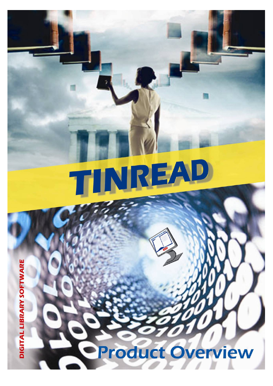# IREA T

**Product Overview** 

DIGITAL LIBRARY SOFTWARE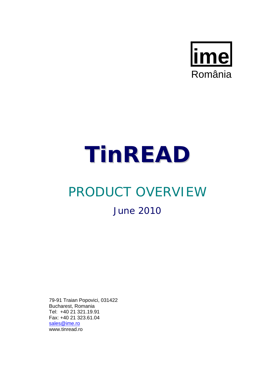

# **TinREAD**

# PRODUCT OVERVIEW June 2010

79-91 Traian Popovici, 031422 Bucharest, Romania Tel: +40 21 321.19.91 Fax: +40 21 323.61.04 sales@ime.ro www.tinread.ro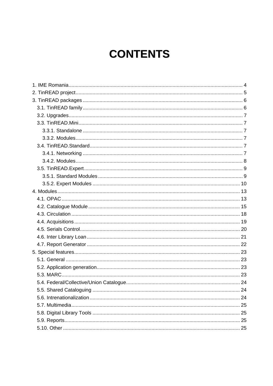# **CONTENTS**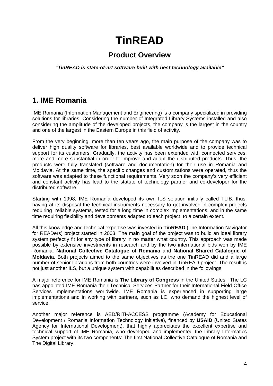# **TinREAD**

### **Product Overview**

*"TinREAD is state-of-art software built with best technology available"* 

## **1. IME Romania**

IME Romania (Information Management and Engineering) is a company specialized in providing solutions for libraries. Considering the number of Integrated Library Systems installed and also considering the amplitude of the developed projects, the company is the largest in the country and one of the largest in the Eastern Europe in this field of activity.

From the very beginning, more than ten years ago, the main purpose of the company was to deliver high quality software for libraries, best available worldwide and to provide technical support for its customers. Gradually, the activity has been extended with connected services, more and more substantial in order to improve and adapt the distributed products. Thus, the products were fully translated (software and documentation) for their use in Romania and Moldavia. At the same time, the specific changes and customizations were operated, thus the software was adapted to these functional requirements. Very soon the company's very efficient and constant activity has lead to the statute of technology partner and co-developer for the distributed software.

Starting with 1998, IME Romania developed its own ILS solution initially called TLIB, thus, having at its disposal the technical instruments necessary to get involved in complex projects requiring reliable systems, tested for a long time in complex implementations, and in the same time requiring flexibility and developments adapted to each project to a certain extent.

All this knowledge and technical expertise was invested in **TinREAD** (The Information Navigator for READers) project started in 2003. The main goal of the project was to build an ideal library system perfectly fit for any type of library in no matter what country. This approach was made possible by extensive investments in research and by the two international bids won by IME Romania: **National Collective Catalogue of Romania** and **National Shared Catalogue of Moldavia**. Both projects aimed to the same objectives as the one TinREAD did and a large number of senior librarians from both countries were involved in TinREAD project. The result is not just another ILS, but a unique system with capabilities described in the followings.

A major reference for IME Romania is **The Library of Congress** in the United States. The LC has appointed IME Romania their Technical Services Partner for their International Field Office Services implementations worldwide. IME Romania is experienced in supporting large implementations and in working with partners, such as LC, who demand the highest level of service.

Another major reference is AED/RITI-ACCESS programme (Academy for Educational Development / Romania Information Technology Initiative), financed by **USAID** (United States Agency for International Development), that highly appreciates the excellent expertise and technical support of IME Romania, who developed and implemented the Library Informatics System project with its two components: The first National Collective Catalogue of Romania and The Digital Library.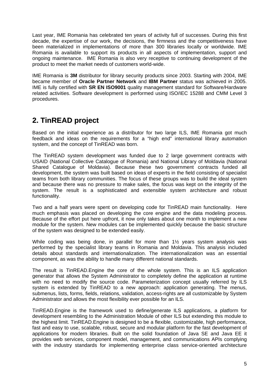Last year, IME Romania has celebrated ten years of activity full of successes. During this first decade, the expertise of our work, the decisions, the firmness and the competitiveness have been materialized in implementations of more than 300 libraries locally or worldwide. IME Romania is available to support its products in all aspects of implementation, support and ongoing maintenance. IME Romania is also very receptive to continuing development of the product to meet the market needs of customers world-wide.

IME Romania is **3M** distributor for library security products since 2003. Starting with 2004, IME became member of **Oracle Partner Network** and **IBM Partner** status was achieved in 2005. IME is fully certified with **SR EN ISO9001** quality management standard for Software/Hardware related activities. Software development is performed using ISO/IEC 15288 and CMM Level 3 procedures.

# **2. TinREAD project**

Based on the initial experience as a distributor for two large ILS, IME Romania got much feedback and ideas on the requirements for a "high end" international library automation system, and the concept of TinREAD was born.

The TinREAD system development was funded due to 2 large government contracts with USAID (National Collective Catalogue of Romania) and National Library of Moldavia (National Shared Catalogue of Moldavia). Because these two government contracts funded all development, the system was built based on ideas of experts in the field consisting of specialist teams from both library communities. The focus of these groups was to build the ideal system and because there was no pressure to make sales, the focus was kept on the integrity of the system. The result is a sophisticated and extensible system architecture and robust functionality.

Two and a half years were spent on developing code for TinREAD main functionality. Here much emphasis was placed on developing the core engine and the data modeling process. Because of the effort put here upfront, it now only takes about one month to implement a new module for the system. New modules can be implemented quickly because the basic structure of the system was designed to be extended easily.

While coding was being done, in parallel for more than 1<sup>1/2</sup> years system analysis was performed by the specialist library teams in Romania and Moldavia. This analysis included details about standards and internationalization. The internationalization was an essential component, as was the ability to handle many different national standards.

The result is TinREAD.Engine the core of the whole system. This is an ILS application generator that allows the System Administrator to completely define the application at runtime with no need to modify the source code. Parameterization concept usually referred by ILS system is extended by TinREAD to a new approach: application generating. The menus, submenus, lists, forms, fields, relations, validation, access-rights are all customizable by System Administrator and allows the most flexibility ever possible for an ILS.

TinREAD.Engine is the framework used to define/generate ILS applications, a platform for development resembling to the Administration Module of other ILS but extending this module to the highest limit. TinREAD.Engine is designed to be a flexible, customizable, high performance, fast and easy to use, scalable, robust, secure and modular platform for the fast development of applications for modern libraries. Built on the solid foundation of Java SE and Java EE it provides web services, component model, management, and communications APIs complying with the industry standards for implementing enterprise class service-oriented architecture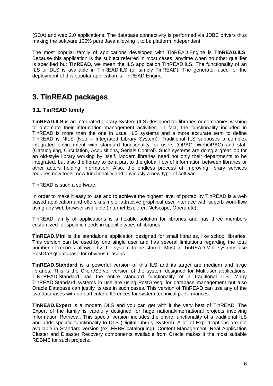(SOA) and web 2.0 applications. The database connectivity is performed via JDBC drivers thus making the software 100% pure Java allowing it to be platform independent.

The most popular family of applications developed with TinREAD.Engine is **TinREAD.ILS**. Because this application is the subject referred in most cases, anytime when no other qualifier is specified but **TinREAD**, we mean the ILS application TinREAD.ILS. The functionality of an ILS or DLS is available in TinREAD.ILS (or simply TinREAD). The generator used for the deployment of this popular application is TinREAD.Engine.

### **3. TinREAD packages**

#### **3.1. TinREAD family**

**TinREAD.ILS** is an Integrated Library System (ILS) designed for libraries or companies wishing to automate their information management activities. In fact, the functionality included in TinREAD is more than the one in usual ILS systems and a more accurate term to define TinREAD is NILS (Neo – Integrated Library System). Traditional ILS supposes a complex integrated environment with standard functionality for users (OPAC, WebOPAC) and staff (Cataloguing, Circulation, Acquisitions, Serials Control). Such systems are doing a great job for an old-style library working by itself. Modern libraries need not only their departments to be integrated, but also the library to be a part to the global flow of information between libraries or other actors holding information. Also, the endless process of improving library services requires new tools, new functionality and obviously a new type of software.

TinREAD is such a software.

In order to make it easy to use and to achieve the highest level of portability TinREAD is a web based application and offers a simple, attractive graphical user interface with superb work-flow using any web browser available (Internet Explorer, Netscape, Opera etc).

TinREAD family of applications is a flexible solution for libraries and has three members customized for specific needs in specific types of libraries.

**TinREAD.Mini** is the standalone application designed for small libraries, like school libraries. This version can be used by one single user and has several limitations regarding the total number of records allowed by the system to be stored. Most of TinREAD.Mini systems use PostGresql database for obvious reasons.

**TinREAD.Standard** is a powerful version of this ILS and its target are medium and large libraries. This is the Client/Server version of the system designed for Multiuser applications. TINLREAD.Standard has the entire standard functionality of a traditional ILS. Many TinREAD.Standard systems in use are using PostGresql for database management but also Oracle Database can justify its use in such cases. This version of TinREAD can use any of the two databases with no particular differences for system technical performances.

**TinREAD.Expert** is a modern DLS and you can get with it the very best of TinREAD. The Expert of the family is carefully designed for huge national/international projects involving Information Retrieval. This special version includes the entire functionality of a traditional ILS and adds specific functionality to DLS (Digital Library System). A lot of Expert options are not available in Standard version (ex. FRBR cataloguing). Content Management, Real Application Cluster and Disaster Recovery components available from Oracle makes it the most suitable RDBMS for such projects.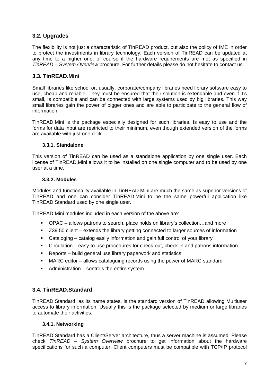#### **3.2. Upgrades**

The flexibility is not just a characteristic of TinREAD product, but also the policy of IME in order to protect the investments in library technology. Each version of TinREAD can be updated at any time to a higher one, of course if the hardware requirements are met as specified in *TinREAD – System Overview* brochure. For further details please do not hesitate to contact us.

#### **3.3. TinREAD.Mini**

Small libraries like school or, usually, corporate/company libraries need library software easy to use, cheap and reliable. They must be ensured that their solution is extendable and even if it's small, is compatible and can be connected with large systems used by big libraries. This way small libraries gain the power of bigger ones and are able to participate to the general flow of information.

TinREAD.Mini is the package especially designed for such libraries. Is easy to use and the forms for data input are restricted to their minimum, even though extended version of the forms are available with just one click.

#### **3.3.1. Standalone**

This version of TinREAD can be used as a standalone application by one single user. Each license of TinREAD.Mini allows it to be installed on one single computer and to be used by one user at a time.

#### **3.3.2. Modules**

Modules and functionality available in TinREAD.Mini are much the same as superior versions of TinREAD and one can consider TinREAD.Mini to be the same powerful application like TinREAD.Standard used by one single user.

TinREAD.Mini modules included in each version of the above are:

- OPAC allows patrons to search, place holds on library's collection…and more
- Z39.50 client extends the library getting connected to larger sources of information
- Cataloging catalog easily information and gain full control of your library
- Circulation easy-to-use procedures for check-out, check-in and patrons information
- Reports build general use library paperwork and statistics
- MARC editor allows cataloguing records using the power of MARC standard
- Administration controls the entire system

#### **3.4. TinREAD.Standard**

TinREAD.Standard, as its name states, is the standard version of TinREAD allowing Multiuser access to library information. Usually this is the package selected by medium or large libraries to automate their activities.

#### **3.4.1. Networking**

TinREAD.Standard has a Client/Server architecture, thus a server machine is assumed. Please check *TinREAD – System Overview* brochure to get information about the hardware specifications for such a computer. Client computers must be compatible with TCP/IP protocol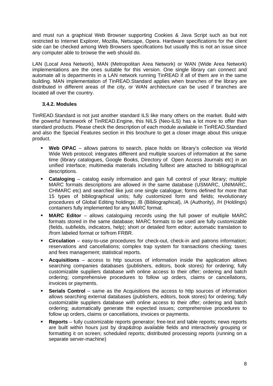and must run a graphical Web Browser supporting Cookies & Java Script such as but not restricted to Internet Explorer, Mozilla, Netscape, Opera. Hardware specifications for the client side can be checked among Web Browsers specifications but usually this is not an issue since any computer able to browse the web should do.

LAN (Local Area Network), MAN (Metropolitan Area Network) or WAN (Wide Area Network) implementations are the ones suitable for this version. One single library can connect and automate all is departments in a LAN network running TinREAD if all of them are in the same building. MAN implementation of TinREAD.Standard applies when branches of the library are distributed in different areas of the city, or WAN architecture can be used if branches are located all over the country.

#### **3.4.2. Modules**

TinREAD.Standard is not just another standard ILS like many others on the market. Build with the powerful framework of TinREAD.Engine, this NILS (Neo-ILS) has a lot more to offer than standard products. Please check the description of each module available in TinREAD.Standard and also the Special Features section in this brochure to get a closer image about this unique product.

- **Web OPAC** allows patrons to search, place holds on library's collection via World Wide Web protocol; integrates different and multiple sources of information at the same time (library catalogues, Google Books, Directory of Open Access Journals etc) in an unified interface; multimedia materials including fulltext are attached to bibliographical descriptions.
- **Cataloging** catalog easily information and gain full control of your library; multiple MARC formats descriptions are allowed in the same database (USMARC, UNIMARC, CHMARC etc) and searched like just one single catalogue; forms defined for more that 15 types of bibliographical units; fully customized form and fields; revolutionary procedures of Global Editing holdings; /B (Bibliographical), /A (Authority), /H (Holdings) containers fully implemented for any MARC format.
- **MARC Editor** allows cataloguing records using the full power of multiple MARC formats stored in the same database; MARC formats to be used are fully customizable (fields, subfields, indicators, help); short or detailed form editor; automatic translation to /from labeled format or to/from FRBR.
- **Circulation** easy-to-use procedures for check-out, check-in and patrons information; reservations and cancellations; complex trap system for transactions checking; taxes and fees management; statistical reports.
- **Acquisitions** access to http sources of information inside the application allows searching companies databases (publishers, editors, book stores) for ordering; fully customizable suppliers database with online access to their offer; ordering and batch ordering; comprehensive procedures to follow up orders, claims or cancellations, invoices or payments.
- **Serials Control** same as the Acquisitions the access to http sources of information allows searching external databases (publishers, editors, book stores) for ordering; fully customizable suppliers database with online access to their offer; ordering and batch ordering; automatically generate the expected issues; comprehensive procedures to follow up orders, claims or cancellations, invoices or payments.
- **Reports** fully customizable reports generator; free-text and table reports; news reports are built within hours just by drap&drop available fields and interactively grouping or formatting it on screen; scheduled reports; distributed processing reports (running on a separate server-machine)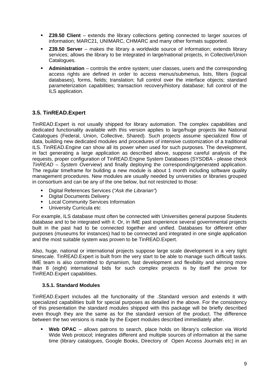- **Z39.50 Client** extends the library collections getting connected to larger sources of information; MARC21, UNIMARC, CHMARC and many other formats supported.
- **Z39.50 Server** makes the library a worldwide source of information; extends library services; allows the library to be integrated in large/national projects, in Collective/Union Catalogues.
- **Administration** controls the entire system; user classes, users and the corresponding access rights are defined in order to access menus/submenus, lists, filters (logical databases), forms, fields; translation; full control over the interface objects; standard parameterization capabilities; transaction recovery/history database; full control of the ILS application.

#### **3.5. TinREAD.Expert**

TinREAD.Expert is not usually shipped for library automation. The complex capabilities and dedicated functionality available with this version applies to large/huge projects like National Catalogues (Federal, Union, Collective, Shared). Such projects assume specialized flow of data, building new dedicated modules and procedures of intensive customization of a traditional ILS. TinREAD.Engine can show all its power when used for such purposes. The development, in fact generating a large application as described above, suppose careful analysis of the requests, proper configuration of TinREAD.Engine System Databases (SYSDBA - please check *TinREAD – System Overview*) and finally deploying the corresponding/generated application. The regular timeframe for building a new module is about 1 month including software quality management procedures. New modules are usually needed by universities or libraries grouped in consortium and can be any of the one below, but not restricted to those:

- Digital References Services (*"Ask the Librarian"*)
- **•** Digital Documents Delivery
- **Local Community Services Information**
- **University Curricula etc**

For example, ILS database must often be connected with Universities general purpose Students database and to be integrated with it. Or, in IME past experience several governmental projects built in the past had to be connected together and unified. Databases for different other purposes (museums for instances) had to be connected and integrated in one single application and the most suitable system was proven to be TinREAD.Expert.

Also, huge, national or international projects suppose large scale development in a very tight timescale. TinREAD.Expert is built from the very start to be able to manage such difficult tasks. IME team is also committed to dynamism, fast development and flexibility and winning more than 8 (eight) international bids for such complex projects is by itself the prove for TinREAD.Expert capabilities.

#### **3.5.1. Standard Modules**

TinREAD.Expert includes all the functionality of the .Standard version and extends it with specialized capabilities built for special purposes as detailed in the above. For the consistency of this presentation the standard modules shipped with this package will be briefly described even though they are the same as for the standard version of the product. The difference between the two versions is made by the Expert modules described immediately after.

 **Web OPAC** – allows patrons to search, place holds on library's collection via World Wide Web protocol; integrates different and multiple sources of information at the same time (library catalogues, Google Books, Directory of Open Access Journals etc) in an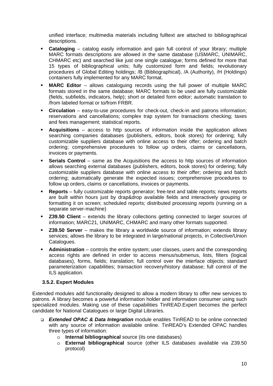unified interface; multimedia materials including fulltext are attached to bibliographical descriptions.

- **Cataloging** catalog easily information and gain full control of your library; multiple MARC formats descriptions are allowed in the same database (USMARC, UNIMARC, CHMARC etc) and searched like just one single catalogue; forms defined for more that 15 types of bibliographical units; fully customized form and fields; revolutionary procedures of Global Editing holdings; /B (Bibliographical), /A (Authority), /H (Holdings) containers fully implemented for any MARC format.
- **MARC Editor** allows cataloguing records using the full power of multiple MARC formats stored in the same database; MARC formats to be used are fully customizable (fields, subfields, indicators, help); short or detailed form editor; automatic translation to /from labeled format or to/from FRBR.
- **Circulation** easy-to-use procedures for check-out, check-in and patrons information; reservations and cancellations; complex trap system for transactions checking; taxes and fees management; statistical reports.
- **Acquisitions** access to http sources of information inside the application allows searching companies databases (publishers, editors, book stores) for ordering; fully customizable suppliers database with online access to their offer; ordering and batch ordering; comprehensive procedures to follow up orders, claims or cancellations, invoices or payments.
- **Serials Control** same as the Acquisitions the access to http sources of information allows searching external databases (publishers, editors, book stores) for ordering; fully customizable suppliers database with online access to their offer; ordering and batch ordering; automatically generate the expected issues; comprehensive procedures to follow up orders, claims or cancellations, invoices or payments.
- **Reports** fully customizable reports generator; free-text and table reports; news reports are built within hours just by drap&drop available fields and interactively grouping or formatting it on screen; scheduled reports; distributed processing reports (running on a separate server-machine)
- **Z39.50 Client** extends the library collections getting connected to larger sources of information; MARC21, UNIMARC, CHMARC and many other formats supported.
- **Z39.50 Server** makes the library a worldwide source of information; extends library services; allows the library to be integrated in large/national projects, in Collective/Union Catalogues.
- **Administration** controls the entire system; user classes, users and the corresponding access rights are defined in order to access menus/submenus, lists, filters (logical databases), forms, fields; translation; full control over the interface objects; standard parameterization capabilities; transaction recovery/history database; full control of the ILS application.

#### **3.5.2. Expert Modules**

Extended modules add functionality designed to allow a modern library to offer new services to patrons. A library becomes a powerful information holder and information consumer using such specialized modules. Making use of these capabilities TinREAD.Expert becomes the perfect candidate for National Catalogues or large Digital Libraries.

- *Extended OPAC & Data Integration* module enables TinREAD to be online connected with any source of information available online. TinREAD's Extended OPAC handles three types of information:
	- o **Internal bibliographical** source (its one databases)
	- o **External bibliographical** source (other ILS databases available via Z39.50 protocol)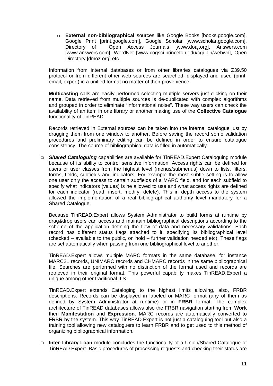o **External non-bibliographical** sources like Google Books [books.google.com], Google Print [print.google.com], Google Scholar [www.scholar.google.com], Directory of Open Access Journals [www.doaj.org], Answers.com [www.answers.com], WordNet [www.cogsci.princeton.edu/cgi-bin/webwn], Open Directory [dmoz.org] etc.

Information from internal databases or from other libraries catalogues via Z39.50 protocol or from different other web sources are searched, displayed and used (print, email, export) in a unified format no matter of their provenience.

**Multicasting** calls are easily performed selecting multiple servers just clicking on their name. Data retrieved from multiple sources is de-duplicated with complex algorithms and grouped in order to eliminate "informational noise". These way users can check the availability of an item in one library or another making use of the **Collective Catalogue** functionality of TinREAD.

Records retrieved in External sources can be taken into the internal catalogue just by dragging them from one window to another. Before saving the record some validation procedures and preliminary editing can be defined in order to ensure catalogue consistency. The source of bibliographical data is filled in automatically.

 *Shared Cataloguing* capabilities are available for TinREAD.Expert Cataloguing module because of its ability to control sensitive information. Access rights can be defined for users or user classes from the highest level (menus/submenus) down to lists, filters, forms, fields, subfields and indicators. For example the most subtle setting is to allow one user only the access to certain subfields of a MARC field, and for each subfield to specify what indicators (values) is he allowed to use and what access rights are defined for each indicator (read, insert, modify, delete). This in depth access to the system allowed the implementation of a real bibliographical authority level mandatory for a Shared Catalogue.

Because TinREAD.Expert allows System Administrator to build forms at runtime by drag&drop users can access and maintain bibliographical descriptions according to the scheme of the application defining the flow of data and necessary validations. Each record has different status flags attached to it, specifying its bibliographical level (checked – available to the public, on hold – further validation needed etc). These flags are set automatically when passing from one bibliographical level to another.

TinREAD.Expert allows multiple MARC formats in the same database, for instance MARC21 records, UNIMARC records and CHMARC records in the same bibliographical file. Searches are performed with no distinction of the format used and records are retrieved in their original format. This powerful capability makes TinREAD.Expert a unique among other traditional ILS.

TinREAD.Expert extends Cataloging to the highest limits allowing, also, FRBR descriptions. Records can be displayed in labeled or MARC format (any of them as defined by System Administrator at runtime) or in **FRBR** format. The complex architecture of TinREAD databases allows also the FRBR navigation starting from **Work** then **Manifestation** and **Expression**. MARC records are automatically converted to FRBR by the system. This way TinREAD.Expert is not just a cataloguing tool but also a training tool allowing new cataloguers to learn FRBR and to get used to this method of organizing bibliographical information.

 **Inter-Library Loan** module concludes the functionality of a Union/Shared Catalogue of TinREAD.Expert. Basic procedures of processing requests and checking their status are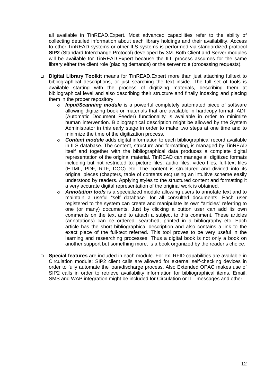all available in TinREAD.Expert. Most advanced capabilities refer to the ability of collecting detailed information about each library holdings and their availability. Access to other TinREAD systems or other ILS systems is performed via standardized protocol **SIP2** (Standard Interchange Protocol) developed by 3M. Both Client and Server modules will be available for TinREAD.Expert because the ILL process assumes for the same library either the client role (placing demands) or the server role (processing requests).

- **Digital Library Toolkit** means for TinREAD.Expert more than just attaching fulltext to bibliographical descriptions, or just searching the text inside. The full set of tools is available starting with the process of digitizing materials, describing them at bibliographical level and also describing their structure and finally indexing and placing them in the proper repository.
	- o *Input/Scanning module* is a powerful completely automated piece of software allowing digitizing book or materials that are available in hardcopy format. ADF (Automatic Document Feeder) functionality is available in order to minimize human intervention. Bibliographical description might be allowed by the System Administrator in this early stage in order to make two steps at one time and to minimize the time of the digitization process.
	- o *Content module* adds digital information to each bibliographical record available in ILS database. The content, structure and formatting, is managed by TinREAD itself and together with the bibliographical data produces a complete digital representation of the original material. TinREAD can manage all digitized formats including but not restricted to: picture files, audio files, video files, full-text files (HTML, PDF, RTF, DOC) etc. The content is structured and divided into its original pieces (chapters, table of contents etc) using an intuitive scheme easily understood by readers. Applying styles to the structured content and formatting it a very accurate digital representation of the original work is obtained.
	- o *Annotation tools* is a specialized module allowing users to annotate text and to maintain a useful "self database" for all consulted documents. Each user registered to the system can create and manipulate its own "articles" referring to one (or many) documents. Just by clicking a button user can add its own comments on the text and to attach a subject to this comment. These articles (annotations) can be ordered, searched, printed in a bibliography etc. Each article has the short bibliographical description and also contains a link to the exact place of the full-text referred. This tool proves to be very useful in the learning and researching processes. Thus a digital book is not only a book on another support but something more, is a book organized by the reader's choice.
- **Special features** are included in each module. For ex. RFID capabilities are available in Circulation module; SIP2 client calls are allowed for external self-checking devices in order to fully automate the loan/discharge process. Also Extended OPAC makes use of SIP2 calls in order to retrieve availability information for bibliographical items. Email, SMS and WAP integration might be included for Circulation or ILL messages and other.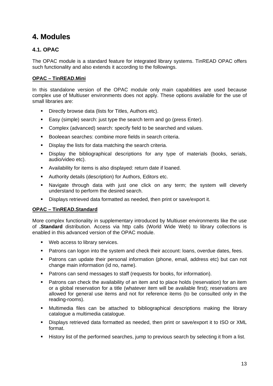## **4. Modules**

#### **4.1. OPAC**

The OPAC module is a standard feature for integrated library systems. TinREAD OPAC offers such functionality and also extends it according to the followings.

#### **OPAC – TinREAD.Mini**

In this standalone version of the OPAC module only main capabilities are used because complex use of Multiuser environments does not apply. These options available for the use of small libraries are:

- Directly browse data (lists for Titles, Authors etc).
- Easy (simple) search: just type the search term and go (press Enter).
- **Complex (advanced) search: specify field to be searched and values.**
- Booleean searches: combine more fields in search criteria.
- Display the lists for data matching the search criteria.
- **Display the bibliographical descriptions for any type of materials (books, serials,** audio/video etc).
- Availability for items is also displayed: return date if loaned.
- Authority details (description) for Authors, Editors etc.
- Navigate through data with just one click on any term; the system will cleverly understand to perform the desired search.
- Displays retrieved data formatted as needed, then print or save/export it.

#### **OPAC – TinREAD.Standard**

More complex functionality in supplementary introduced by Multiuser environments like the use of **.Standard** distribution. Access via http calls (World Wide Web) to library collections is enabled in this advanced version of the OPAC module.

- **Web access to library services.**
- **Patrons can logon into the system and check their account: loans, overdue dates, fees.**
- Patrons can update their personal information (phone, email, address etc) but can not change main information (id no, name).
- **Patrons can send messages to staff (requests for books, for information).**
- **Patrons can check the availability of an item and to place holds (reservation) for an item** or a global reservation for a title (whatever item will be available first); reservations are allowed for general use items and not for reference items (to be consulted only in the reading-rooms).
- Multimedia files can be attached to bibliographical descriptions making the library catalogue a multimedia catalogue.
- Displays retrieved data formatted as needed, then print or save/export it to ISO or XML format.
- History list of the performed searches, jump to previous search by selecting it from a list.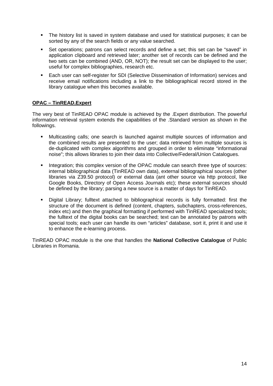- The history list is saved in system database and used for statistical purposes; it can be sorted by any of the search fields or any value searched.
- Set operations; patrons can select records and define a set; this set can be "saved" in application clipboard and retrieved later; another set of records can be defined and the two sets can be combined (AND, OR, NOT); the result set can be displayed to the user; useful for complex bibliographies, research etc.
- Each user can self-register for SDI (Selective Dissemination of Information) services and receive email notifications including a link to the bibliographical record stored in the library catalogue when this becomes available.

#### **OPAC – TinREAD.Expert**

The very best of TinREAD OPAC module is achieved by the .Expert distribution. The powerful information retrieval system extends the capabilities of the .Standard version as shown in the followings.

- Multicasting calls; one search is launched against multiple sources of information and the combined results are presented to the user; data retrieved from multiple sources is de-duplicated with complex algorithms and grouped in order to eliminate "informational noise"; this allows libraries to join their data into Collective/Federal/Union Catalogues.
- Integration; this complex version of the OPAC module can search three type of sources: internal bibliographical data (TinREAD own data), external bibliographical sources (other libraries via Z39.50 protocol) or external data (ant other source via http protocol, like Google Books, Directory of Open Access Journals etc); these external sources should be defined by the library; parsing a new source is a matter of days for TinREAD.
- Digital Library; fulltext attached to bibliographical records is fully formatted: first the structure of the document is defined (content, chapters, subchapters, cross-references, index etc) and then the graphical formatting if performed with TinREAD specialized tools; the fulltext of the digital books can be searched; text can be annotated by patrons with special tools; each user can handle its own "articles" database, sort it, print it and use it to enhance the e-learning process.

TinREAD OPAC module is the one that handles the **National Collective Catalogue** of Public Libraries in Romania.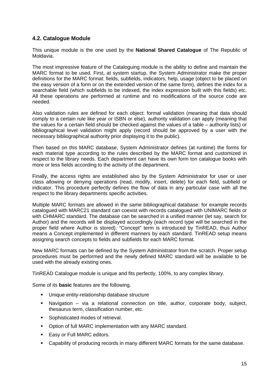#### **4.2. Catalogue Module**

This unique module is the one used by the **National Shared Catalogue** of The Republic of Moldavia.

The most impressive feature of the Cataloguing module is the ability to define and maintain the MARC format to be used. First, at system startup, the System Administrator make the proper definitions for the MARC format: fields, subfields, indicators, help, usage (object to be placed on the easy version of a form or on the extended version of the same form), defines the index for a searchable field (which subfields to be indexed, the index expression built with this fields) etc. All these operations are performed at runtime and no modifications of the source code are needed.

Also validation rules are defined for each object: formal validation (meaning that data should comply to a certain rule like year or ISBN or else), authority validation can apply (meaning that the values for a certain field should be checked against the values of a table – authority lists) or bibliographical level validation might apply (record should be approved by a user with the necessary bibliographical authority prior displaying it to the public).

Then based on this MARC database, System Administrator defines (at runtime) the forms for each material type according to the rules described by the MARC format and customized in respect to the library needs. Each department can have its own form ton catalogue books with more or less fields according to the activity of the department.

Finally, the access rights are established also by the System Administrator for user or user class allowing or denying operations (read, modify, insert, delete) for each field, subfield or indicator. This procedure perfectly defines the flow of data in any particular case with all the respect to the library departments specific activities.

Multiple MARC formats are allowed in the same bibliographical database: for example records catalogued with MARC21 standard can coexist with records catalogued with UNIMARC fields or with CHMARC standard. The database can be searched in a unified manner (let say, search for Author) and the records will be displayed accordingly (each record type will be searched in the proper field where Author is stored). "Concept" term is introduced by TinREAD, thus Author means a Concept implemented in different manners by each standard. TinREAD setup means assigning search concepts to fields and subfields for each MARC format.

New MARC formats can be defined by the System Administrator from the scratch. Proper setup procedures must be performed and the newly defined MARC standard will be available to be used with the already existing ones.

TinREAD Catalogue module is unique and fits perfectly, 100%, to any complex library.

Some of its **basic** features are the following.

- **Unique entity-relationship database structure**
- Navigation via a relational connection on title, author, corporate body, subject, thesaurus term, classification number, etc.
- **Sophisticated modes of retrieval.**
- **Option of full MARC implementation with any MARC standard.**
- **Easy or Full MARC editors.**
- Capability of producing records in many different MARC formats for the same database.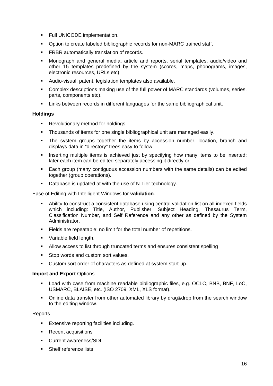- **FULL UNICODE implementation.**
- Option to create labeled bibliographic records for non-MARC trained staff.
- **FRBR** automatically translation of records.
- Monograph and general media, article and reports, serial templates, audio/video and other 15 templates predefined by the system (scores, maps, phonograms, images, electronic resources, URLs etc).
- Audio-visual, patent, legislation templates also available.
- Complex descriptions making use of the full power of MARC standards (volumes, series, parts, components etc).
- Links between records in different languages for the same bibliographical unit.

#### **Holdings**

- **Revolutionary method for holdings.**
- Thousands of items for one single bibliographical unit are managed easily.
- The system groups together the items by accession number, location, branch and displays data in "directory" trees easy to follow.
- Inserting multiple items is achieved just by specifying how many items to be inserted; later each item can be edited separately accessing it directly or
- Each group (many contiguous accession numbers with the same details) can be edited together (group operations).
- Database is updated at with the use of N-Tier technology.

Ease of Editing with Intelligent Windows for **validation**.

- Ability to construct a consistent database using central validation list on all indexed fields which including: Title, Author, Publisher, Subiect Heading, Thesaurus Term, Classification Number, and Self Reference and any other as defined by the System Administrator.
- Fields are repeatable; no limit for the total number of repetitions.
- **•** Variable field length.
- Allow access to list through truncated terms and ensures consistent spelling
- **Stop words and custom sort values.**
- Custom sort order of characters as defined at system start-up.

#### **Import and Export** Options

- Load with case from machine readable bibliographic files, e.g. OCLC, BNB, BNF, LoC, USMARC, BLAISE, etc. (ISO 2709, XML, XLS format).
- Online data transfer from other automated library by drag&drop from the search window to the editing window.

#### **Reports**

- **Extensive reporting facilities including.**
- **Recent acquisitions**
- Current awareness/SDI
- Shelf reference lists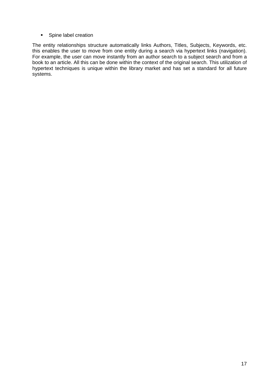**Spine label creation** 

The entity relationships structure automatically links Authors, Titles, Subjects, Keywords, etc. this enables the user to move from one entity during a search via hypertext links (navigation). For example, the user can move instantly from an author search to a subject search and from a book to an article. All this can be done within the context of the original search. This utilization of hypertext techniques is unique within the library market and has set a standard for all future systems.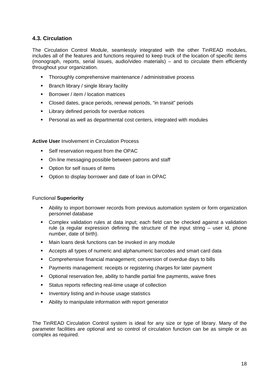#### **4.3. Circulation**

The Circulation Control Module, seamlessly integrated with the other TinREAD modules, includes all of the features and functions required to keep truck of the location of specific items (monograph, reports, serial issues, audio/video materials) – and to circulate them efficiently throughout your organization.

- **Thoroughly comprehensive maintenance / administrative process**
- **Branch library / single library facility**
- Borrower / item / location matrices
- Closed dates, grace periods, renewal periods, "in transit" periods
- **EXECUTE:** Library defined periods for overdue notices
- Personal as well as departmental cost centers, integrated with modules

#### **Active User** Involvement in Circulation Process

- **Self reservation request from the OPAC**
- On-line messaging possible between patrons and staff
- **•** Option for self issues of items
- Option to display borrower and date of loan in OPAC

#### Functional **Superiority**

- Ability to import borrower records from previous automation system or form organization personnel database
- Complex validation rules at data input; each field can be checked against a validation rule (a regular expression defining the structure of the input string – user id, phone number, date of birth).
- Main loans desk functions can be invoked in any module
- Accepts all types of numeric and alphanumeric barcodes and smart card data
- Comprehensive financial management; conversion of overdue days to bills
- Payments management: receipts or registering charges for later payment
- Optional reservation fee, ability to handle partial fine payments, waive fines
- Status reports reflecting real-time usage of collection
- **Inventory listing and in-house usage statistics**
- Ability to manipulate information with report generator

The TinREAD Circulation Control system is ideal for any size or type of library. Many of the parameter facilities are optional and so control of circulation function can be as simple or as complex as required.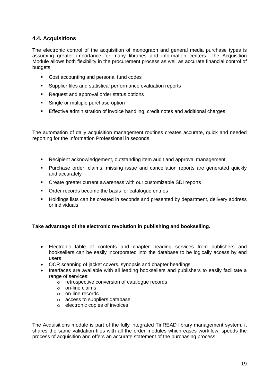#### **4.4. Acquisitions**

The electronic control of the acquisition of monograph and general media purchase types is assuming greater importance for many libraries and information centers. The Acquisition Module allows both flexibility in the procurement process as well as accurate financial control of budgets.

- **Cost accounting and personal fund codes**
- **Supplier files and statistical performance evaluation reports**
- Request and approval order status options
- **Single or multiple purchase option**
- Effective administration of invoice handling, credit notes and additional charges

The automation of daily acquisition management routines creates accurate, quick and needed reporting for the Information Professional in seconds.

- Recipient acknowledgement, outstanding item audit and approval management
- Purchase order, claims, missing issue and cancellation reports are generated quickly and accurately
- Create greater current awareness with our customizable SDI reports
- Order records become the basis for catalogue entries
- Holdings lists can be created in seconds and presented by department, delivery address or individuals

#### **Take advantage of the electronic revolution in publishing and bookselling.**

- Electronic table of contents and chapter heading services from publishers and booksellers can be easily incorporated into the database to be logically access by end users
- OCR scanning of jacket covers, synopsis and chapter headings
- Interfaces are available with all leading booksellers and publishers to easily facilitate a range of services:
	- o retrospective conversion of catalogue records
	- o on-line claims
	- o on-line records
	- o access to suppliers database
	- o electronic copies of invoices

The Acquisitions module is part of the fully integrated TinREAD library management system, it shares the same validation files with all the order modules which eases workflow, speeds the process of acquisition and offers an accurate statement of the purchasing process.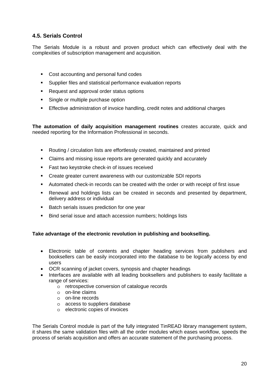#### **4.5. Serials Control**

The Serials Module is a robust and proven product which can effectively deal with the complexities of subscription management and acquisition.

- **Cost accounting and personal fund codes**
- Supplier files and statistical performance evaluation reports
- **Request and approval order status options**
- Single or multiple purchase option
- Effective administration of invoice handling, credit notes and additional charges

**The automation of daily acquisition management routines** creates accurate, quick and needed reporting for the Information Professional in seconds.

- Routing / circulation lists are effortlessly created, maintained and printed
- Claims and missing issue reports are generated quickly and accurately
- **Fast two keystroke check-in of issues received**
- Create greater current awareness with our customizable SDI reports
- Automated check-in records can be created with the order or with receipt of first issue
- Renewal and holdings lists can be created in seconds and presented by department, delivery address or individual
- Batch serials issues prediction for one year
- Bind serial issue and attach accession numbers; holdings lists

#### **Take advantage of the electronic revolution in publishing and bookselling.**

- Electronic table of contents and chapter heading services from publishers and booksellers can be easily incorporated into the database to be logically access by end users
- OCR scanning of jacket covers, synopsis and chapter headings
- Interfaces are available with all leading booksellers and publishers to easily facilitate a range of services:
	- o retrospective conversion of catalogue records
	- o on-line claims
	- o on-line records
	- o access to suppliers database
	- o electronic copies of invoices

The Serials Control module is part of the fully integrated TinREAD library management system, it shares the same validation files with all the order modules which eases workflow, speeds the process of serials acquisition and offers an accurate statement of the purchasing process.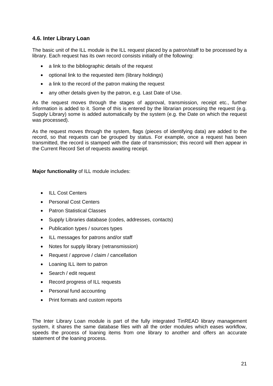#### **4.6. Inter Library Loan**

The basic unit of the ILL module is the ILL request placed by a patron/staff to be processed by a library. Each request has its own record consists initially of the following:

- a link to the bibliographic details of the request
- optional link to the requested item (library holdings)
- a link to the record of the patron making the request
- any other details given by the patron, e.g. Last Date of Use.

As the request moves through the stages of approval, transmission, receipt etc., further information is added to it. Some of this is entered by the librarian processing the request (e.g. Supply Library) some is added automatically by the system (e.g. the Date on which the request was processed).

As the request moves through the system, flags (pieces of identifying data) are added to the record, so that requests can be grouped by status. For example, once a request has been transmitted, the record is stamped with the date of transmission; this record will then appear in the Current Record Set of requests awaiting receipt.

**Major functionality** of ILL module includes:

- ILL Cost Centers
- Personal Cost Centers
- Patron Statistical Classes
- Supply Libraries database (codes, addresses, contacts)
- Publication types / sources types
- ILL messages for patrons and/or staff
- Notes for supply library (retransmission)
- Request / approve / claim / cancellation
- Loaning ILL item to patron
- Search / edit request
- Record progress of ILL requests
- Personal fund accounting
- Print formats and custom reports

The Inter Library Loan module is part of the fully integrated TinREAD library management system, it shares the same database files with all the order modules which eases workflow, speeds the process of loaning items from one library to another and offers an accurate statement of the loaning process.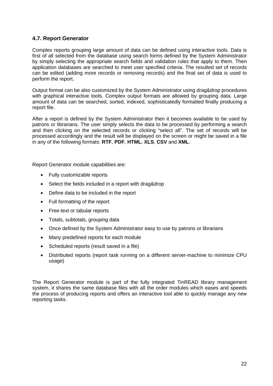#### **4.7. Report Generator**

Complex reports grouping large amount of data can be defined using interactive tools. Data is first of all selected from the database using search forms defined by the System Administrator by simply selecting the appropriate search fields and validation rules that apply to them. Then application databases are searched to meet user specified criteria. The resulted set of records can be edited (adding more records or removing records) and the final set of data is used to perform the report.

Output format can be also customized by the System Administrator using drag&drop procedures with graphical interactive tools. Complex output formats are allowed by grouping data. Large amount of data can be searched, sorted, indexed, sophisticatedly formatted finally producing a report file.

After a report is defined by the System Administrator then it becomes available to be used by patrons or librarians. The user simply selects the data to be processed by performing a search and then clicking on the selected records or clicking "select all". The set of records will be processed accordingly and the result will be displayed on the screen or might be saved in a file in any of the following formats: **RTF**, **PDF**, **HTML**, **XLS**, **CSV** and **XML**.

Report Generator module capabilities are:

- Fully customizable reports
- Select the fields included in a report with drag&drop
- Define data to be included in the report
- Full formatting of the report
- Free-text or tabular reports
- Totals, subtotals, grouping data
- Once defined by the System Administrator easy to use by patrons or librarians
- Many predefined reports for each module
- Scheduled reports (result saved in a file)
- Distributed reports (report task running on a different server-machine to minimize CPU usage)

The Report Generator module is part of the fully integrated TinREAD library management system, it shares the same database files with all the order modules which eases and speeds the process of producing reports and offers an interactive tool able to quickly manage any new reporting tasks.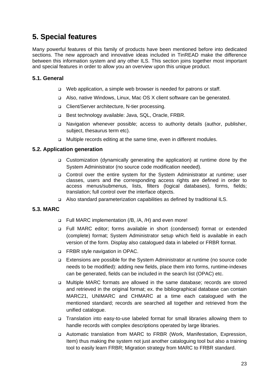## **5. Special features**

Many powerful features of this family of products have been mentioned before into dedicated sections. The new approach and innovative ideas included in TinREAD make the difference between this information system and any other ILS. This section joins together most important and special features in order to allow you an overview upon this unique product.

#### **5.1. General**

- □ Web application, a simple web browser is needed for patrons or staff.
- Also, native Windows, Linux, Mac OS X client software can be generated.
- Client/Server architecture, N-tier processing.
- □ Best technology available: Java, SQL, Oracle, FRBR.
- Navigation whenever possible; access to authority details (author, publisher, subject, thesaurus term etc).
- □ Multiple records editing at the same time, even in different modules.

#### **5.2. Application generation**

- Customization (dynamically generating the application) at runtime done by the System Administrator (no source code modification needed).
- Control over the entire system for the System Administrator at runtime; user classes, users and the corresponding access rights are defined in order to access menus/submenus, lists, filters (logical databases), forms, fields; translation; full control over the interface objects.
- Also standard parameterization capabilities as defined by traditional ILS.

#### **5.3. MARC**

- Full MARC implementation (/B, /A, /H) and even more!
- Full MARC editor; forms available in short (condensed) format or extended (complete) format; System Administrator setup which field is available in each version of the form. Display also catalogued data in labeled or FRBR format.
- □ FRBR style navigation in OPAC.
- Extensions are possible for the System Administrator at runtime (no source code needs to be modified): adding new fields, place them into forms, runtime-indexes can be generated, fields can be included in the search list (OPAC) etc.
- Multiple MARC formats are allowed in the same database; records are stored and retrieved in the original format; ex. the bibliographical database can contain MARC21, UNIMARC and CHMARC at a time each catalogued with the mentioned standard; records are searched all together and retrieved from the unified catalogue.
- Translation into easy-to-use labeled format for small libraries allowing them to handle records with complex descriptions operated by large libraries.
- Automatic translation from MARC to FRBR (Work, Manifestation, Expression, Item) thus making the system not just another cataloguing tool but also a training tool to easily learn FRBR; Migration strategy from MARC to FRBR standard.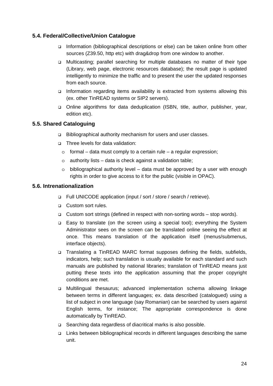#### **5.4. Federal/Collective/Union Catalogue**

- Information (bibliographical descriptions or else) can be taken online from other sources (Z39.50, http etc) with drag&drop from one window to another.
- Multicasting; parallel searching for multiple databases no matter of their type (Library, web page, electronic resources database); the result page is updated intelligently to minimize the traffic and to present the user the updated responses from each source.
- □ Information regarding items availability is extracted from systems allowing this (ex. other TinREAD systems or SIP2 servers).
- Online algorithms for data deduplication (ISBN, title, author, publisher, year, edition etc).

#### **5.5. Shared Cataloguing**

- Bibliographical authority mechanism for users and user classes.
- □ Three levels for data validation:
	- $\circ$  formal data must comply to a certain rule a regular expression;
	- o authority lists data is check against a validation table;
	- $\circ$  bibliographical authority level data must be approved by a user with enough rights in order to give access to it for the public (visible in OPAC).

#### **5.6. Intrenationalization**

- □ Full UNICODE application (input / sort / store / search / retrieve).
- **Q** Custom sort rules.
- Custom sort strings (defined in respect with non-sorting words stop words).
- Easy to translate (on the screen using a special tool); everything the System Administrator sees on the screen can be translated online seeing the effect at once. This means translation of the application itself (menus/submenus, interface objects).
- □ Translating a TinREAD MARC format supposes defining the fields, subfields, indicators, help; such translation is usually available for each standard and such manuals are published by national libraries; translation of TinREAD means just putting these texts into the application assuming that the proper copyright conditions are met.
- Multilingual thesaurus; advanced implementation schema allowing linkage between terms in different languages; ex. data described (catalogued) using a list of subject in one language (say Romanian) can be searched by users against English terms, for instance; The appropriate correspondence is done automatically by TinREAD.
- Searching data regardless of diacritical marks is also possible.
- □ Links between bibliographical records in different languages describing the same unit.